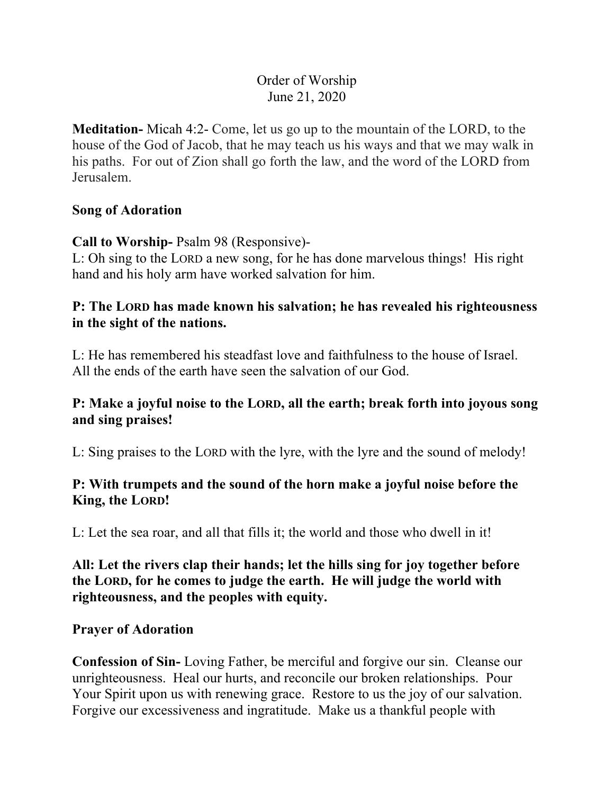# Order of Worship June 21, 2020

**Meditation-** Micah 4:2- Come, let us go up to the mountain of the LORD, to the house of the God of Jacob, that he may teach us his ways and that we may walk in his paths. For out of Zion shall go forth the law, and the word of the LORD from Jerusalem.

#### **Song of Adoration**

**Call to Worship-** Psalm 98 (Responsive)-

L: Oh sing to the LORD a new song, for he has done marvelous things! His right hand and his holy arm have worked salvation for him.

## **P: The LORD has made known his salvation; he has revealed his righteousness in the sight of the nations.**

L: He has remembered his steadfast love and faithfulness to the house of Israel. All the ends of the earth have seen the salvation of our God.

## **P: Make a joyful noise to the LORD, all the earth; break forth into joyous song and sing praises!**

L: Sing praises to the LORD with the lyre, with the lyre and the sound of melody!

## **P: With trumpets and the sound of the horn make a joyful noise before the King, the LORD!**

L: Let the sea roar, and all that fills it; the world and those who dwell in it!

**All: Let the rivers clap their hands; let the hills sing for joy together before the LORD, for he comes to judge the earth. He will judge the world with righteousness, and the peoples with equity.**

### **Prayer of Adoration**

**Confession of Sin-** Loving Father, be merciful and forgive our sin. Cleanse our unrighteousness. Heal our hurts, and reconcile our broken relationships. Pour Your Spirit upon us with renewing grace. Restore to us the joy of our salvation. Forgive our excessiveness and ingratitude. Make us a thankful people with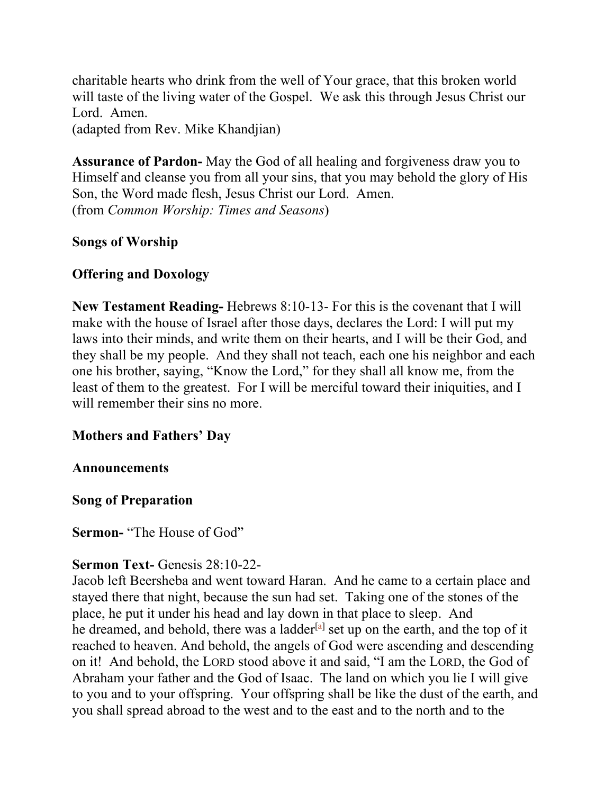charitable hearts who drink from the well of Your grace, that this broken world will taste of the living water of the Gospel. We ask this through Jesus Christ our Lord. Amen. (adapted from Rev. Mike Khandjian)

**Assurance of Pardon-** May the God of all healing and forgiveness draw you to Himself and cleanse you from all your sins, that you may behold the glory of His Son, the Word made flesh, Jesus Christ our Lord. Amen. (from *Common Worship: Times and Seasons*)

## **Songs of Worship**

## **Offering and Doxology**

**New Testament Reading-** Hebrews 8:10-13- For this is the covenant that I will make with the house of Israel after those days, declares the Lord: I will put my laws into their minds, and write them on their hearts, and I will be their God, and they shall be my people. And they shall not teach, each one his neighbor and each one his brother, saying, "Know the Lord," for they shall all know me, from the least of them to the greatest. For I will be merciful toward their iniquities, and I will remember their sins no more.

## **Mothers and Fathers' Day**

### **Announcements**

### **Song of Preparation**

**Sermon-** "The House of God"

### **Sermon Text-** Genesis 28:10-22-

Jacob left Beersheba and went toward Haran. And he came to a certain place and stayed there that night, because the sun had set. Taking one of the stones of the place, he put it under his head and lay down in that place to sleep. And he dreamed, and behold, there was a ladder<sup>[a]</sup> set up on the earth, and the top of it reached to heaven. And behold, the angels of God were ascending and descending on it! And behold, the LORD stood above it and said, "I am the LORD, the God of Abraham your father and the God of Isaac. The land on which you lie I will give to you and to your offspring. Your offspring shall be like the dust of the earth, and you shall spread abroad to the west and to the east and to the north and to the